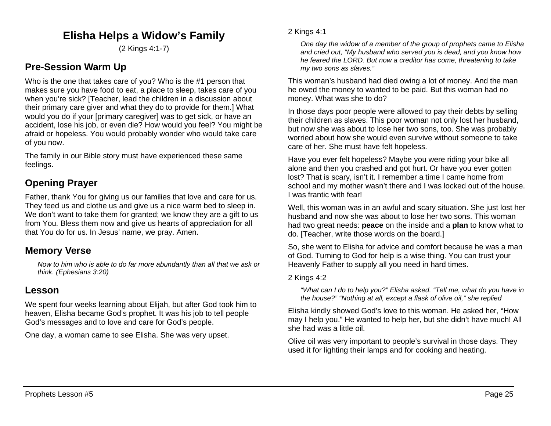# **Elisha Helps a Widow's Family**

(2 Kings 4:1-7)

# **Pre-Session Warm Up**

Who is the one that takes care of you? Who is the #1 person that makes sure you have food to eat, a place to sleep, takes care of you when you're sick? [Teacher, lead the children in a discussion about their primary care giver and what they do to provide for them.] What would you do if your [primary caregiver] was to get sick, or have an accident, lose his job, or even die? How would you feel? You might be afraid or hopeless. You would probably wonder who would take care of you now.

The family in our Bible story must have experienced these same feelings.

# **Opening Prayer**

Father, thank You for giving us our families that love and care for us. They feed us and clothe us and give us a nice warm bed to sleep in. We don't want to take them for granted; we know they are a gift to us from You. Bless them now and give us hearts of appreciation for all that You do for us. In Jesus' name, we pray. Amen.

# **Memory Verse**

*Now to him who is able to do far more abundantly than all that we ask or think. (Ephesians 3:20)*

# **Lesson**

We spent four weeks learning about Elijah, but after God took him to heaven, Elisha became God's prophet. It was his job to tell people God's messages and to love and care for God's people.

One day, a woman came to see Elisha. She was very upset.

*One day the widow of a member of the group of prophets came to Elisha and cried out, "My husband who served you is dead, and you know how he feared the LORD. But now a creditor has come, threatening to take my two sons as slaves."*

This woman's husband had died owing a lot of money. And the man he owed the money to wanted to be paid. But this woman had no money. What was she to do?

In those days poor people were allowed to pay their debts by selling their children as slaves. This poor woman not only lost her husband, but now she was about to lose her two sons, too. She was probably worried about how she would even survive without someone to take care of her. She must have felt hopeless.

Have you ever felt hopeless? Maybe you were riding your bike all alone and then you crashed and got hurt. Or have you ever gotten lost? That is scary, isn't it. I remember a time I came home from school and my mother wasn't there and I was locked out of the house. I was frantic with fear!

Well, this woman was in an awful and scary situation. She just lost her husband and now she was about to lose her two sons. This woman had two great needs: **peace** on the inside and a **plan** to know what to do. [Teacher, write those words on the board.]

So, she went to Elisha for advice and comfort because he was a man of God. Turning to God for help is a wise thing. You can trust your Heavenly Father to supply all you need in hard times.

### 2 Kings 4:2

*"What can I do to help you?" Elisha asked. "Tell me, what do you have in the house?" "Nothing at all, except a flask of olive oil," she replied*

Elisha kindly showed God's love to this woman. He asked her, "How may I help you." He wanted to help her, but she didn't have much! All she had was a little oil.

Olive oil was very important to people's survival in those days. They used it for lighting their lamps and for cooking and heating.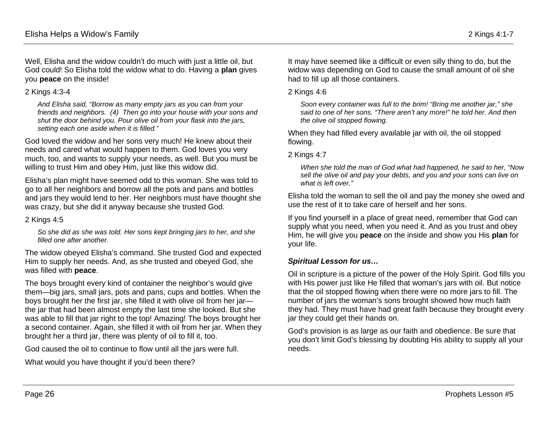Well, Elisha and the widow couldn't do much with just a little oil, but God could! So Elisha told the widow what to do. Having a **plan** gives you **peace** on the inside!

#### 2 Kings 4:3-4

*And Elisha said, "Borrow as many empty jars as you can from your friends and neighbors. (4) Then go into your house with your sons and shut the door behind you. Pour olive oil from your flask into the jars, setting each one aside when it is filled."*

God loved the widow and her sons very much! He knew about their needs and cared what would happen to them. God loves you very much, too, and wants to supply your needs, as well. But you must be willing to trust Him and obey Him, just like this widow did.

Elisha's plan might have seemed odd to this woman. She was told to go to all her neighbors and borrow all the pots and pans and bottles and jars they would lend to her. Her neighbors must have thought she was crazy, but she did it anyway because she trusted God.

#### 2 Kings 4:5

*So she did as she was told. Her sons kept bringing jars to her, and she filled one after another.*

The widow obeyed Elisha's command. She trusted God and expected Him to supply her needs. And, as she trusted and obeyed God, she was filled with **peace**.

The boys brought every kind of container the neighbor's would give them—big jars, small jars, pots and pans, cups and bottles. When the boys brought her the first jar, she filled it with olive oil from her jar the jar that had been almost empty the last time she looked. But she was able to fill that jar right to the top! Amazing! The boys brought her a second container. Again, she filled it with oil from her jar. When they brought her a third jar, there was plenty of oil to fill it, too.

God caused the oil to continue to flow until all the jars were full.

What would you have thought if you'd been there?

It may have seemed like a difficult or even silly thing to do, but the widow was depending on God to cause the small amount of oil she had to fill up all those containers.

#### 2 Kings 4:6

*Soon every container was full to the brim! "Bring me another jar," she said to one of her sons. "There aren't any more!" he told her. And then the olive oil stopped flowing.*

When they had filled every available jar with oil, the oil stopped flowing.

2 Kings 4:7

*When she told the man of God what had happened, he said to her, "Now sell the olive oil and pay your debts, and you and your sons can live on what is left over."*

Elisha told the woman to sell the oil and pay the money she owed and use the rest of it to take care of herself and her sons.

If you find yourself in a place of great need, remember that God can supply what you need, when you need it. And as you trust and obey Him, he will give you **peace** on the inside and show you His **plan** for your life.

### *Spiritual Lesson for us…*

Oil in scripture is a picture of the power of the Holy Spirit. God fills you with His power just like He filled that woman's jars with oil. But notice that the oil stopped flowing when there were no more jars to fill. The number of jars the woman's sons brought showed how much faith they had. They must have had great faith because they brought every jar they could get their hands on.

God's provision is as large as our faith and obedience. Be sure that you don't limit God's blessing by doubting His ability to supply all your needs.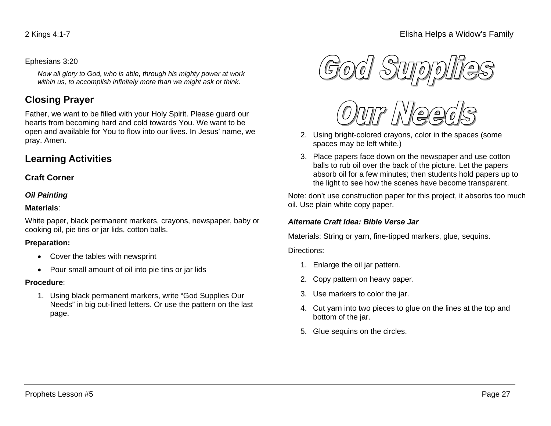#### Ephesians 3:20

*Now all glory to God, who is able, through his mighty power at work within us, to accomplish infinitely more than we might ask or think.*

# **Closing Prayer**

Father, we want to be filled with your Holy Spirit. Please guard our hearts from becoming hard and cold towards You. We want to be open and available for You to flow into our lives. In Jesus' name, we pray. Amen.

# **Learning Activities**

### **Craft Corner**

#### *Oil Painting*

#### **Materials**:

White paper, black permanent markers, crayons, newspaper, baby or cooking oil, pie tins or jar lids, cotton balls.

### **Preparation:**

- Cover the tables with newsprint
- Pour small amount of oil into pie tins or jar lids

### **Procedure**:

1. Using black permanent markers, write "God Supplies Our Needs" in big out-lined letters. Or use the pattern on the last page.





- 2. Using bright-colored crayons, color in the spaces (some spaces may be left white.)
- 3. Place papers face down on the newspaper and use cotton balls to rub oil over the back of the picture. Let the papers absorb oil for a few minutes; then students hold papers up to the light to see how the scenes have become transparent.

Note: don't use construction paper for this project, it absorbs too much oil. Use plain white copy paper.

### *Alternate Craft Idea: Bible Verse Jar*

Materials: String or yarn, fine-tipped markers, glue, sequins.

#### Directions:

- 1. Enlarge the oil jar pattern.
- 2. Copy pattern on heavy paper.
- 3. Use markers to color the jar.
- 4. Cut yarn into two pieces to glue on the lines at the top and bottom of the jar.
- 5. Glue sequins on the circles.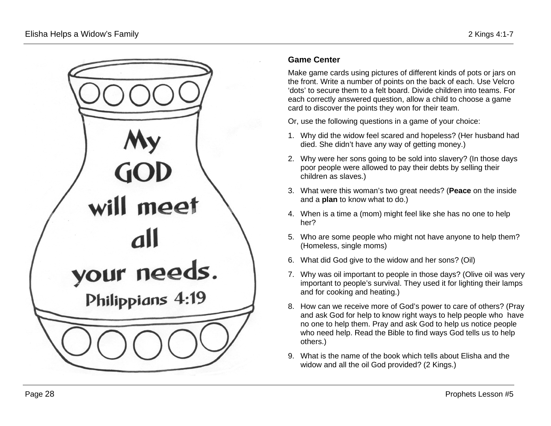

## **Game Center**

Make game cards using pictures of different kinds of pots or jars on the front. Write a number of points on the back of each. Use Velcro 'dots' to secure them to a felt board. Divide children into teams. For each correctly answered question, allow a child to choose a game card to discover the points they won for their team.

Or, use the following questions in a game of your choice:

- 1. Why did the widow feel scared and hopeless? (Her husband had died. She didn't have any way of getting money.)
- 2. Why were her sons going to be sold into slavery? (In those days poor people were allowed to pay their debts by selling their children as slaves.)
- 3. What were this woman's two great needs? (**Peace** on the inside and a **plan** to know what to do.)
- 4. When is a time a (mom) might feel like she has no one to help her?
- 5. Who are some people who might not have anyone to help them? (Homeless, single moms)
- 6. What did God give to the widow and her sons? (Oil)
- 7. Why was oil important to people in those days? (Olive oil was very important to people's survival. They used it for lighting their lamps and for cooking and heating.)
- 8. How can we receive more of God's power to care of others? (Pray and ask God for help to know right ways to help people who have no one to help them. Pray and ask God to help us notice people who need help. Read the Bible to find ways God tells us to help others.)
- 9. What is the name of the book which tells about Elisha and the widow and all the oil God provided? (2 Kings.)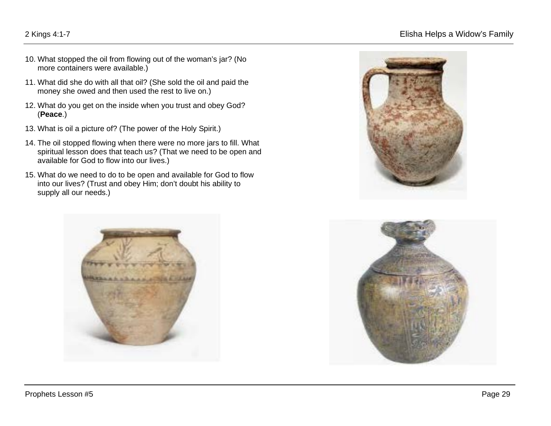## 2 Kings 4:1-7 Elisha Helps a Widow's Family

- 10. What stopped the oil from flowing out of the woman's jar? (No more containers were available.)
- 11. What did she do with all that oil? (She sold the oil and paid the money she owed and then used the rest to live on.)
- 12. What do you get on the inside when you trust and obey God? (**Peace**.)
- 13. What is oil a picture of? (The power of the Holy Spirit.)
- 14. The oil stopped flowing when there were no more jars to fill. What spiritual lesson does that teach us? (That we need to be open and available for God to flow into our lives.)
- 15. What do we need to do to be open and available for God to flow into our lives? (Trust and obey Him; don't doubt his ability to supply all our needs.)